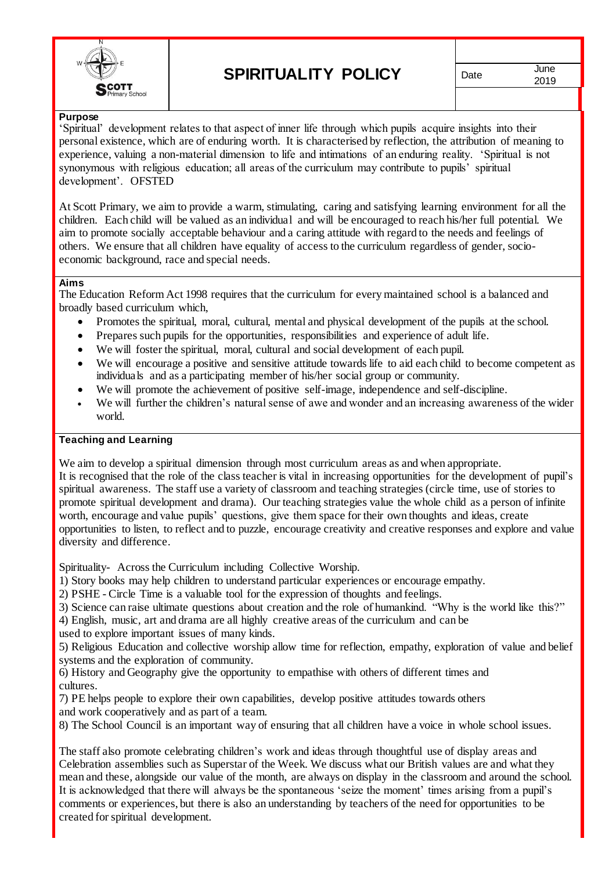

2019

# **Purpose**

'Spiritual' development relates to that aspect of inner life through which pupils acquire insights into their personal existence, which are of enduring worth. It is characterised by reflection, the attribution of meaning to experience, valuing a non-material dimension to life and intimations of an enduring reality. 'Spiritual is not synonymous with religious education; all areas of the curriculum may contribute to pupils' spiritual development'. OFSTED

At Scott Primary, we aim to provide a warm, stimulating, caring and satisfying learning environment for all the children. Each child will be valued as an individual and will be encouraged to reach his/her full potential. We aim to promote socially acceptable behaviour and a caring attitude with regard to the needs and feelings of others. We ensure that all children have equality of access to the curriculum regardless of gender, socioeconomic background, race and special needs.

#### **Aims**

The Education Reform Act 1998 requires that the curriculum for every maintained school is a balanced and broadly based curriculum which,

- Promotes the spiritual, moral, cultural, mental and physical development of the pupils at the school.
- Prepares such pupils for the opportunities, responsibilities and experience of adult life.
- We will foster the spiritual, moral, cultural and social development of each pupil.
- We will encourage a positive and sensitive attitude towards life to aid each child to become competent as individuals and as a participating member of his/her social group or community.
- We will promote the achievement of positive self-image, independence and self-discipline.
- We will further the children's natural sense of awe and wonder and an increasing awareness of the wider world.

## **Teaching and Learning**

We aim to develop a spiritual dimension through most curriculum areas as and when appropriate.

It is recognised that the role of the class teacher is vital in increasing opportunities for the development of pupil's spiritual awareness. The staff use a variety of classroom and teaching strategies (circle time, use of stories to promote spiritual development and drama). Our teaching strategies value the whole child as a person of infinite worth, encourage and value pupils' questions, give them space for their own thoughts and ideas, create opportunities to listen, to reflect and to puzzle, encourage creativity and creative responses and explore and value diversity and difference.

Spirituality- Across the Curriculum including Collective Worship.

- 1) Story books may help children to understand particular experiences or encourage empathy.
- 2) PSHE Circle Time is a valuable tool for the expression of thoughts and feelings.
- 3) Science can raise ultimate questions about creation and the role of humankind. "Why is the world like this?"

4) English, music, art and drama are all highly creative areas of the curriculum and can be used to explore important issues of many kinds.

5) Religious Education and collective worship allow time for reflection, empathy, exploration of value and belief systems and the exploration of community.

6) History and Geography give the opportunity to empathise with others of different times and cultures.

7) PE helps people to explore their own capabilities, develop positive attitudes towards others and work cooperatively and as part of a team.

8) The School Council is an important way of ensuring that all children have a voice in whole school issues.

The staff also promote celebrating children's work and ideas through thoughtful use of display areas and Celebration assemblies such as Superstar of the Week. We discuss what our British values are and what they mean and these, alongside our value of the month, are always on display in the classroom and around the school. It is acknowledged that there will always be the spontaneous 'seize the moment' times arising from a pupil's comments or experiences, but there is also an understanding by teachers of the need for opportunities to be created for spiritual development.